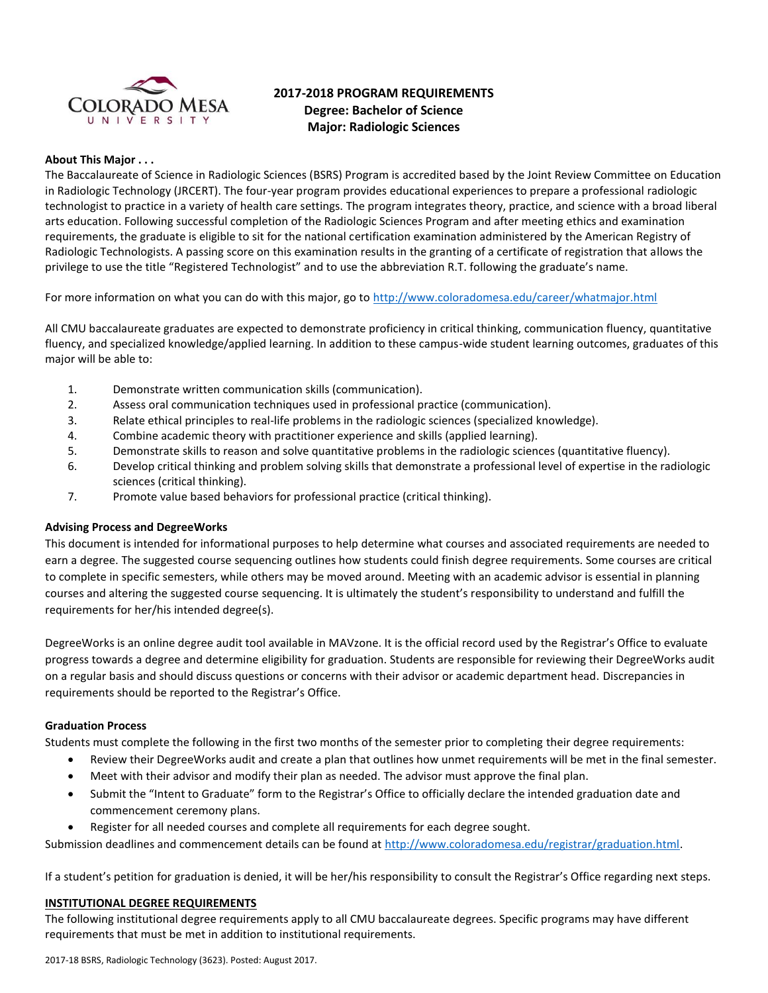

# **2017-2018 PROGRAM REQUIREMENTS Degree: Bachelor of Science Major: Radiologic Sciences**

# **About This Major . . .**

The Baccalaureate of Science in Radiologic Sciences (BSRS) Program is accredited based by the Joint Review Committee on Education in Radiologic Technology (JRCERT). The four-year program provides educational experiences to prepare a professional radiologic technologist to practice in a variety of health care settings. The program integrates theory, practice, and science with a broad liberal arts education. Following successful completion of the Radiologic Sciences Program and after meeting ethics and examination requirements, the graduate is eligible to sit for the national certification examination administered by the American Registry of Radiologic Technologists. A passing score on this examination results in the granting of a certificate of registration that allows the privilege to use the title "Registered Technologist" and to use the abbreviation R.T. following the graduate's name.

For more information on what you can do with this major, go to<http://www.coloradomesa.edu/career/whatmajor.html>

All CMU baccalaureate graduates are expected to demonstrate proficiency in critical thinking, communication fluency, quantitative fluency, and specialized knowledge/applied learning. In addition to these campus-wide student learning outcomes, graduates of this major will be able to:

- 1. Demonstrate written communication skills (communication).
- 2. Assess oral communication techniques used in professional practice (communication).
- 3. Relate ethical principles to real-life problems in the radiologic sciences (specialized knowledge).
- 4. Combine academic theory with practitioner experience and skills (applied learning).
- 5. Demonstrate skills to reason and solve quantitative problems in the radiologic sciences (quantitative fluency).
- 6. Develop critical thinking and problem solving skills that demonstrate a professional level of expertise in the radiologic sciences (critical thinking).
- 7. Promote value based behaviors for professional practice (critical thinking).

# **Advising Process and DegreeWorks**

This document is intended for informational purposes to help determine what courses and associated requirements are needed to earn a degree. The suggested course sequencing outlines how students could finish degree requirements. Some courses are critical to complete in specific semesters, while others may be moved around. Meeting with an academic advisor is essential in planning courses and altering the suggested course sequencing. It is ultimately the student's responsibility to understand and fulfill the requirements for her/his intended degree(s).

DegreeWorks is an online degree audit tool available in MAVzone. It is the official record used by the Registrar's Office to evaluate progress towards a degree and determine eligibility for graduation. Students are responsible for reviewing their DegreeWorks audit on a regular basis and should discuss questions or concerns with their advisor or academic department head. Discrepancies in requirements should be reported to the Registrar's Office.

# **Graduation Process**

Students must complete the following in the first two months of the semester prior to completing their degree requirements:

- Review their DegreeWorks audit and create a plan that outlines how unmet requirements will be met in the final semester.
- Meet with their advisor and modify their plan as needed. The advisor must approve the final plan.
- Submit the "Intent to Graduate" form to the Registrar's Office to officially declare the intended graduation date and commencement ceremony plans.
- Register for all needed courses and complete all requirements for each degree sought.

Submission deadlines and commencement details can be found at [http://www.coloradomesa.edu/registrar/graduation.html.](http://www.coloradomesa.edu/registrar/graduation.html)

If a student's petition for graduation is denied, it will be her/his responsibility to consult the Registrar's Office regarding next steps.

# **INSTITUTIONAL DEGREE REQUIREMENTS**

The following institutional degree requirements apply to all CMU baccalaureate degrees. Specific programs may have different requirements that must be met in addition to institutional requirements.

2017-18 BSRS, Radiologic Technology (3623). Posted: August 2017.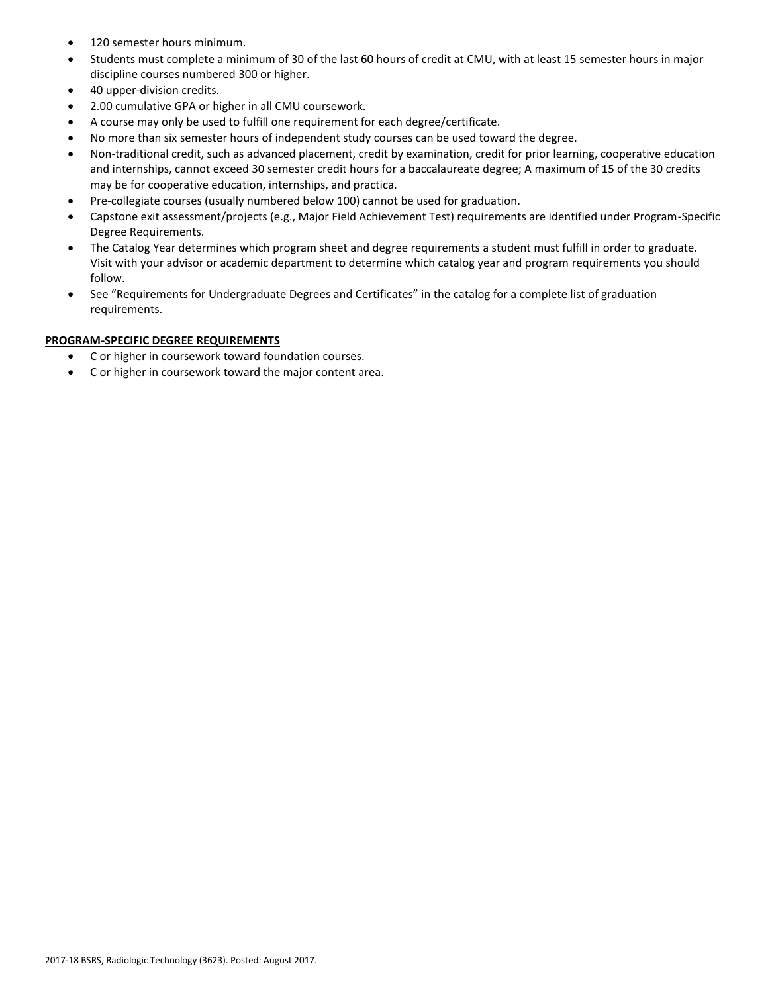- 120 semester hours minimum.
- Students must complete a minimum of 30 of the last 60 hours of credit at CMU, with at least 15 semester hours in major discipline courses numbered 300 or higher.
- 40 upper-division credits.
- 2.00 cumulative GPA or higher in all CMU coursework.
- A course may only be used to fulfill one requirement for each degree/certificate.
- No more than six semester hours of independent study courses can be used toward the degree.
- Non-traditional credit, such as advanced placement, credit by examination, credit for prior learning, cooperative education and internships, cannot exceed 30 semester credit hours for a baccalaureate degree; A maximum of 15 of the 30 credits may be for cooperative education, internships, and practica.
- Pre-collegiate courses (usually numbered below 100) cannot be used for graduation.
- Capstone exit assessment/projects (e.g., Major Field Achievement Test) requirements are identified under Program-Specific Degree Requirements.
- The Catalog Year determines which program sheet and degree requirements a student must fulfill in order to graduate. Visit with your advisor or academic department to determine which catalog year and program requirements you should follow.
- See "Requirements for Undergraduate Degrees and Certificates" in the catalog for a complete list of graduation requirements.

# **PROGRAM-SPECIFIC DEGREE REQUIREMENTS**

- C or higher in coursework toward foundation courses.
- C or higher in coursework toward the major content area.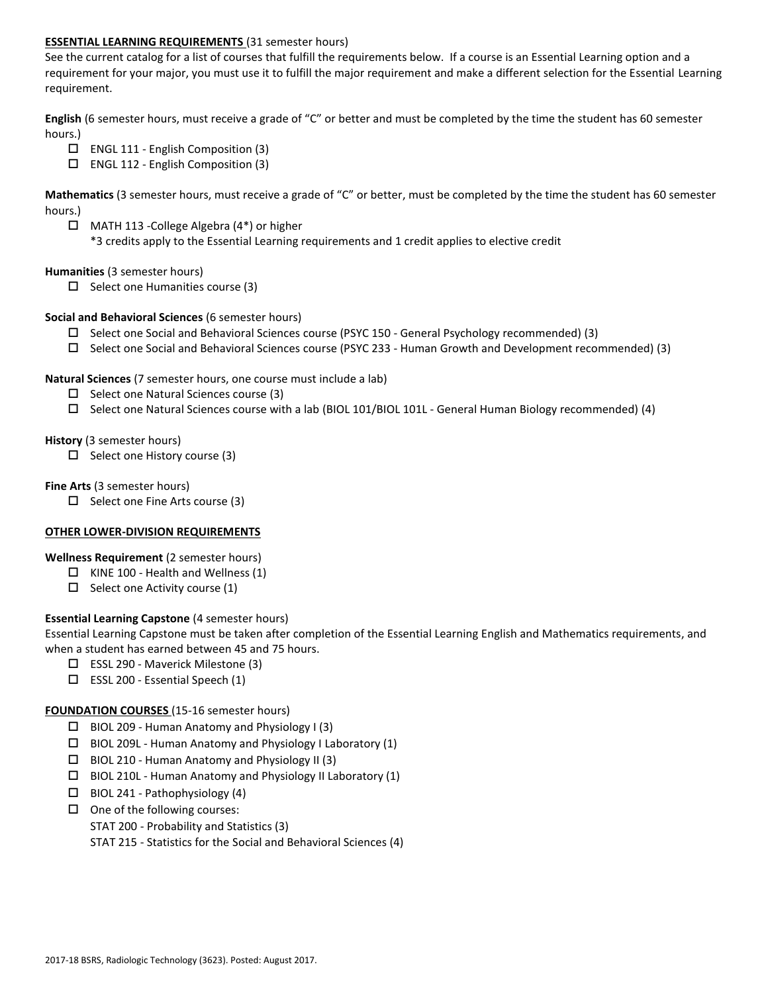### **ESSENTIAL LEARNING REQUIREMENTS** (31 semester hours)

See the current catalog for a list of courses that fulfill the requirements below. If a course is an Essential Learning option and a requirement for your major, you must use it to fulfill the major requirement and make a different selection for the Essential Learning requirement.

**English** (6 semester hours, must receive a grade of "C" or better and must be completed by the time the student has 60 semester hours.)

- $\Box$  ENGL 111 English Composition (3)
- $\Box$  ENGL 112 English Composition (3)

**Mathematics** (3 semester hours, must receive a grade of "C" or better, must be completed by the time the student has 60 semester hours.)

 MATH 113 -College Algebra (4\*) or higher \*3 credits apply to the Essential Learning requirements and 1 credit applies to elective credit

### **Humanities** (3 semester hours)

 $\Box$  Select one Humanities course (3)

### **Social and Behavioral Sciences** (6 semester hours)

- $\square$  Select one Social and Behavioral Sciences course (PSYC 150 General Psychology recommended) (3)
- Select one Social and Behavioral Sciences course (PSYC 233 Human Growth and Development recommended) (3)

### **Natural Sciences** (7 semester hours, one course must include a lab)

- $\Box$  Select one Natural Sciences course (3)
- $\square$  Select one Natural Sciences course with a lab (BIOL 101/BIOL 101L General Human Biology recommended) (4)

### **History** (3 semester hours)

 $\square$  Select one History course (3)

### **Fine Arts** (3 semester hours)

 $\Box$  Select one Fine Arts course (3)

# **OTHER LOWER-DIVISION REQUIREMENTS**

# **Wellness Requirement** (2 semester hours)

- $\Box$  KINE 100 Health and Wellness (1)
- $\Box$  Select one Activity course (1)

# **Essential Learning Capstone** (4 semester hours)

Essential Learning Capstone must be taken after completion of the Essential Learning English and Mathematics requirements, and when a student has earned between 45 and 75 hours.

- $\Box$  ESSL 290 Maverick Milestone (3)
- $\square$  ESSL 200 Essential Speech (1)

# **FOUNDATION COURSES** (15-16 semester hours)

- $\Box$  BIOL 209 Human Anatomy and Physiology I (3)
- $\Box$  BIOL 209L Human Anatomy and Physiology I Laboratory (1)
- $\Box$  BIOL 210 Human Anatomy and Physiology II (3)
- $\Box$  BIOL 210L Human Anatomy and Physiology II Laboratory (1)
- $\Box$  BIOL 241 Pathophysiology (4)
- $\Box$  One of the following courses:
	- STAT 200 Probability and Statistics (3)

STAT 215 - Statistics for the Social and Behavioral Sciences (4)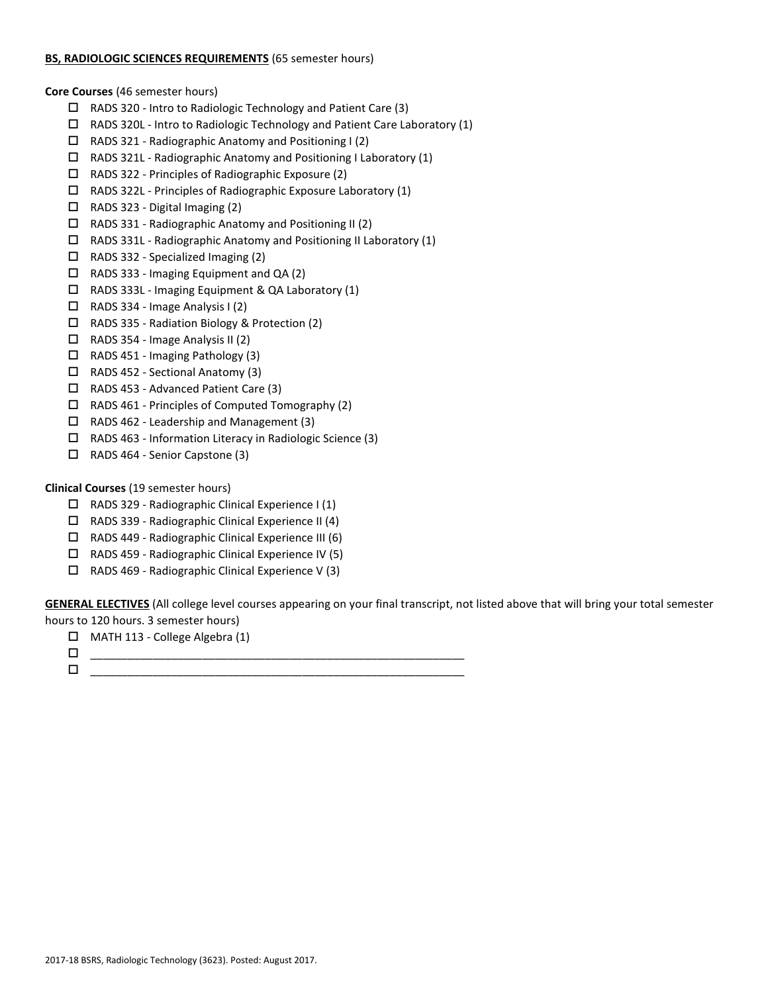### **BS, RADIOLOGIC SCIENCES REQUIREMENTS** (65 semester hours)

**Core Courses** (46 semester hours)

- RADS 320 Intro to Radiologic Technology and Patient Care (3)
- RADS 320L Intro to Radiologic Technology and Patient Care Laboratory (1)
- $\Box$  RADS 321 Radiographic Anatomy and Positioning I (2)
- RADS 321L Radiographic Anatomy and Positioning I Laboratory (1)
- $\Box$  RADS 322 Principles of Radiographic Exposure (2)
- RADS 322L Principles of Radiographic Exposure Laboratory (1)
- $\Box$  RADS 323 Digital Imaging (2)
- $\Box$  RADS 331 Radiographic Anatomy and Positioning II (2)
- $\Box$  RADS 331L Radiographic Anatomy and Positioning II Laboratory (1)
- $\Box$  RADS 332 Specialized Imaging (2)
- RADS 333 Imaging Equipment and QA (2)
- RADS 333L Imaging Equipment & QA Laboratory (1)
- $\Box$  RADS 334 Image Analysis I (2)
- RADS 335 Radiation Biology & Protection (2)
- $\Box$  RADS 354 Image Analysis II (2)
- RADS 451 Imaging Pathology (3)
- RADS 452 Sectional Anatomy (3)
- □ RADS 453 Advanced Patient Care (3)
- $\Box$  RADS 461 Principles of Computed Tomography (2)
- RADS 462 Leadership and Management (3)
- $\Box$  RADS 463 Information Literacy in Radiologic Science (3)
- RADS 464 Senior Capstone (3)

# **Clinical Courses** (19 semester hours)

- $\Box$  RADS 329 Radiographic Clinical Experience I (1)
- $\Box$  RADS 339 Radiographic Clinical Experience II (4)
- RADS 449 Radiographic Clinical Experience III (6)
- $\Box$  RADS 459 Radiographic Clinical Experience IV (5)
- $\Box$  RADS 469 Radiographic Clinical Experience V (3)

**GENERAL ELECTIVES** (All college level courses appearing on your final transcript, not listed above that will bring your total semester hours to 120 hours. 3 semester hours)

MATH 113 - College Algebra (1)

 \_\_\_\_\_\_\_\_\_\_\_\_\_\_\_\_\_\_\_\_\_\_\_\_\_\_\_\_\_\_\_\_\_\_\_\_\_\_\_\_\_\_\_\_\_\_\_\_\_\_\_\_\_\_\_\_\_\_\_\_ \_\_\_\_\_\_\_\_\_\_\_\_\_\_\_\_\_\_\_\_\_\_\_\_\_\_\_\_\_\_\_\_\_\_\_\_\_\_\_\_\_\_\_\_\_\_\_\_\_\_\_\_\_\_\_\_\_\_\_\_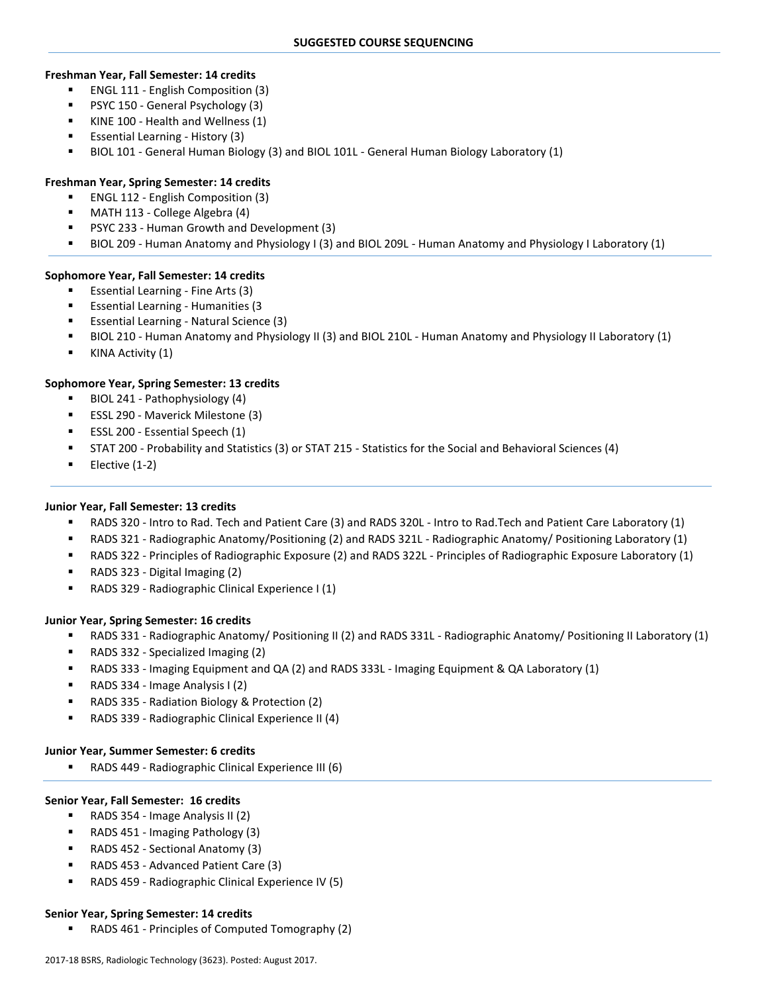### **Freshman Year, Fall Semester: 14 credits**

- ENGL 111 English Composition (3)
- PSYC 150 General Psychology (3)
- KINE 100 Health and Wellness (1)
- Essential Learning History (3)
- BIOL 101 General Human Biology (3) and BIOL 101L General Human Biology Laboratory (1)

### **Freshman Year, Spring Semester: 14 credits**

- ENGL 112 English Composition (3)
- MATH 113 College Algebra (4)
- PSYC 233 Human Growth and Development (3)
- BIOL 209 Human Anatomy and Physiology I (3) and BIOL 209L Human Anatomy and Physiology I Laboratory (1)

### **Sophomore Year, Fall Semester: 14 credits**

- Essential Learning Fine Arts (3)
- **Essential Learning Humanities (3**
- Essential Learning Natural Science (3)
- BIOL 210 Human Anatomy and Physiology II (3) and BIOL 210L Human Anatomy and Physiology II Laboratory (1)
- KINA Activity (1)

### **Sophomore Year, Spring Semester: 13 credits**

- **BIOL 241 Pathophysiology (4)**
- ESSL 290 Maverick Milestone (3)
- ESSL 200 Essential Speech (1)
- STAT 200 Probability and Statistics (3) or STAT 215 Statistics for the Social and Behavioral Sciences (4)
- $\blacksquare$  Elective (1-2)

### **Junior Year, Fall Semester: 13 credits**

- RADS 320 Intro to Rad. Tech and Patient Care (3) and RADS 320L Intro to Rad.Tech and Patient Care Laboratory (1)
- RADS 321 Radiographic Anatomy/Positioning (2) and RADS 321L Radiographic Anatomy/ Positioning Laboratory (1)
- RADS 322 Principles of Radiographic Exposure (2) and RADS 322L Principles of Radiographic Exposure Laboratory (1)
- RADS 323 Digital Imaging (2)
- RADS 329 Radiographic Clinical Experience I (1)

### **Junior Year, Spring Semester: 16 credits**

- RADS 331 Radiographic Anatomy/ Positioning II (2) and RADS 331L Radiographic Anatomy/ Positioning II Laboratory (1)
- RADS 332 Specialized Imaging (2)
- RADS 333 Imaging Equipment and QA (2) and RADS 333L Imaging Equipment & QA Laboratory (1)
- RADS 334 Image Analysis I (2)
- RADS 335 Radiation Biology & Protection (2)
- RADS 339 Radiographic Clinical Experience II (4)

### **Junior Year, Summer Semester: 6 credits**

RADS 449 - Radiographic Clinical Experience III (6)

### **Senior Year, Fall Semester: 16 credits**

- RADS 354 Image Analysis II (2)
- RADS 451 Imaging Pathology (3)
- RADS 452 Sectional Anatomy (3)
- RADS 453 Advanced Patient Care (3)
- RADS 459 Radiographic Clinical Experience IV (5)

### **Senior Year, Spring Semester: 14 credits**

RADS 461 - Principles of Computed Tomography (2)